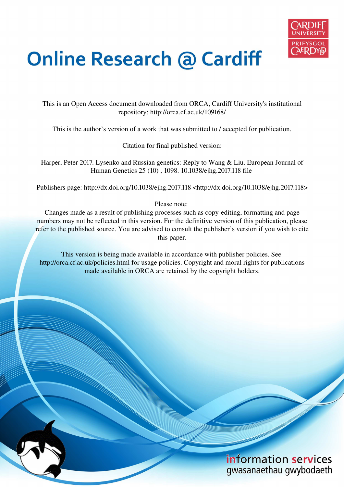

## **Online Research @ Cardiff**

This is an Open Access document downloaded from ORCA, Cardiff University's institutional repository: http://orca.cf.ac.uk/109168/

This is the author's version of a work that was submitted to / accepted for publication.

Citation for final published version:

Harper, Peter 2017. Lysenko and Russian genetics: Reply to Wang & Liu. European Journal of Human Genetics 25 (10) , 1098. 10.1038/ejhg.2017.118 file

Publishers page: http://dx.doi.org/10.1038/ejhg.2017.118 <http://dx.doi.org/10.1038/ejhg.2017.118>

Please note:

Changes made as a result of publishing processes such as copy-editing, formatting and page numbers may not be reflected in this version. For the definitive version of this publication, please refer to the published source. You are advised to consult the publisher's version if you wish to cite this paper.

This version is being made available in accordance with publisher policies. See http://orca.cf.ac.uk/policies.html for usage policies. Copyright and moral rights for publications made available in ORCA are retained by the copyright holders.

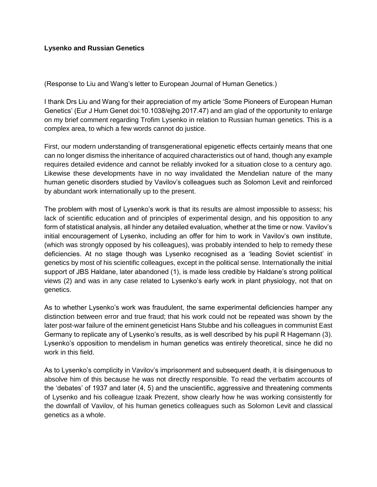## **Lysenko and Russian Genetics**

(Response to Liu and Wang's letter to European Journal of Human Genetics.)

I thank Drs Liu and Wang for their appreciation of my article 'Some Pioneers of European Human Genetics' (Eur J Hum Genet doi:10.1038/ejhg.2017.47) and am glad of the opportunity to enlarge on my brief comment regarding Trofim Lysenko in relation to Russian human genetics. This is a complex area, to which a few words cannot do justice.

First, our modern understanding of transgenerational epigenetic effects certainly means that one can no longer dismiss the inheritance of acquired characteristics out of hand, though any example requires detailed evidence and cannot be reliably invoked for a situation close to a century ago. Likewise these developments have in no way invalidated the Mendelian nature of the many human genetic disorders studied by Vavilov's colleagues such as Solomon Levit and reinforced by abundant work internationally up to the present.

The problem with most of Lysenko's work is that its results are almost impossible to assess; his lack of scientific education and of principles of experimental design, and his opposition to any form of statistical analysis, all hinder any detailed evaluation, whether at the time or now. Vavilov's initial encouragement of Lysenko, including an offer for him to work in Vavilov's own institute, (which was strongly opposed by his colleagues), was probably intended to help to remedy these deficiencies. At no stage though was Lysenko recognised as a 'leading Soviet scientist' in genetics by most of his scientific colleagues, except in the political sense. Internationally the initial support of JBS Haldane, later abandoned (1), is made less credible by Haldane's strong political views (2) and was in any case related to Lysenko's early work in plant physiology, not that on genetics.

As to whether Lysenko's work was fraudulent, the same experimental deficiencies hamper any distinction between error and true fraud; that his work could not be repeated was shown by the later post-war failure of the eminent geneticist Hans Stubbe and his colleagues in communist East Germany to replicate any of Lysenko's results, as is well described by his pupil R Hagemann (3). Lysenko's opposition to mendelism in human genetics was entirely theoretical, since he did no work in this field.

As to Lysenko's complicity in Vavilov's imprisonment and subsequent death, it is disingenuous to absolve him of this because he was not directly responsible. To read the verbatim accounts of the 'debates' of 1937 and later (4, 5) and the unscientific, aggressive and threatening comments of Lysenko and his colleague Izaak Prezent, show clearly how he was working consistently for the downfall of Vavilov, of his human genetics colleagues such as Solomon Levit and classical genetics as a whole.